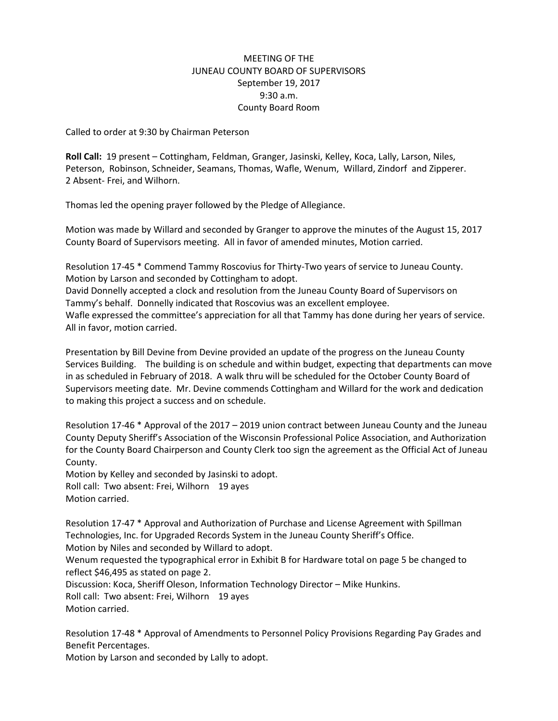## MEETING OF THE JUNEAU COUNTY BOARD OF SUPERVISORS September 19, 2017 9:30 a.m. County Board Room

Called to order at 9:30 by Chairman Peterson

**Roll Call:** 19 present – Cottingham, Feldman, Granger, Jasinski, Kelley, Koca, Lally, Larson, Niles, Peterson, Robinson, Schneider, Seamans, Thomas, Wafle, Wenum, Willard, Zindorf and Zipperer. 2 Absent- Frei, and Wilhorn.

Thomas led the opening prayer followed by the Pledge of Allegiance.

Motion was made by Willard and seconded by Granger to approve the minutes of the August 15, 2017 County Board of Supervisors meeting. All in favor of amended minutes, Motion carried.

Resolution 17-45 \* Commend Tammy Roscovius for Thirty-Two years of service to Juneau County. Motion by Larson and seconded by Cottingham to adopt. David Donnelly accepted a clock and resolution from the Juneau County Board of Supervisors on

Tammy's behalf. Donnelly indicated that Roscovius was an excellent employee. Wafle expressed the committee's appreciation for all that Tammy has done during her years of service.

All in favor, motion carried.

Presentation by Bill Devine from Devine provided an update of the progress on the Juneau County Services Building. The building is on schedule and within budget, expecting that departments can move in as scheduled in February of 2018. A walk thru will be scheduled for the October County Board of Supervisors meeting date. Mr. Devine commends Cottingham and Willard for the work and dedication to making this project a success and on schedule.

Resolution 17-46 \* Approval of the 2017 – 2019 union contract between Juneau County and the Juneau County Deputy Sheriff's Association of the Wisconsin Professional Police Association, and Authorization for the County Board Chairperson and County Clerk too sign the agreement as the Official Act of Juneau County.

Motion by Kelley and seconded by Jasinski to adopt. Roll call: Two absent: Frei, Wilhorn 19 ayes Motion carried.

Resolution 17-47 \* Approval and Authorization of Purchase and License Agreement with Spillman Technologies, Inc. for Upgraded Records System in the Juneau County Sheriff's Office.

Motion by Niles and seconded by Willard to adopt.

Wenum requested the typographical error in Exhibit B for Hardware total on page 5 be changed to reflect \$46,495 as stated on page 2.

Discussion: Koca, Sheriff Oleson, Information Technology Director – Mike Hunkins. Roll call: Two absent: Frei, Wilhorn 19 ayes Motion carried.

Resolution 17-48 \* Approval of Amendments to Personnel Policy Provisions Regarding Pay Grades and Benefit Percentages.

Motion by Larson and seconded by Lally to adopt.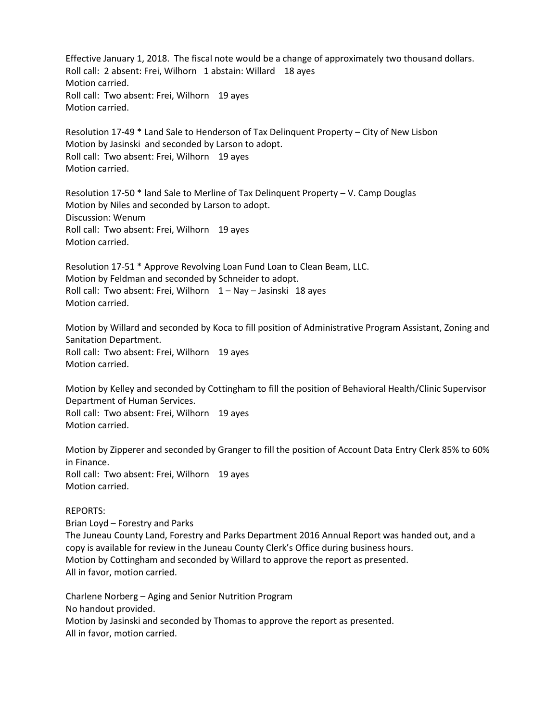Effective January 1, 2018. The fiscal note would be a change of approximately two thousand dollars. Roll call: 2 absent: Frei, Wilhorn 1 abstain: Willard 18 ayes Motion carried. Roll call: Two absent: Frei, Wilhorn 19 ayes Motion carried.

Resolution 17-49 \* Land Sale to Henderson of Tax Delinquent Property – City of New Lisbon Motion by Jasinski and seconded by Larson to adopt. Roll call: Two absent: Frei, Wilhorn 19 ayes Motion carried.

Resolution 17-50 \* land Sale to Merline of Tax Delinquent Property – V. Camp Douglas Motion by Niles and seconded by Larson to adopt. Discussion: Wenum Roll call: Two absent: Frei, Wilhorn 19 ayes Motion carried.

Resolution 17-51 \* Approve Revolving Loan Fund Loan to Clean Beam, LLC. Motion by Feldman and seconded by Schneider to adopt. Roll call: Two absent: Frei, Wilhorn  $1 -$  Nay – Jasinski 18 ayes Motion carried.

Motion by Willard and seconded by Koca to fill position of Administrative Program Assistant, Zoning and Sanitation Department. Roll call: Two absent: Frei, Wilhorn 19 ayes Motion carried.

Motion by Kelley and seconded by Cottingham to fill the position of Behavioral Health/Clinic Supervisor Department of Human Services. Roll call: Two absent: Frei, Wilhorn 19 ayes Motion carried.

Motion by Zipperer and seconded by Granger to fill the position of Account Data Entry Clerk 85% to 60% in Finance. Roll call: Two absent: Frei, Wilhorn 19 ayes Motion carried.

## REPORTS:

Brian Loyd – Forestry and Parks The Juneau County Land, Forestry and Parks Department 2016 Annual Report was handed out, and a copy is available for review in the Juneau County Clerk's Office during business hours. Motion by Cottingham and seconded by Willard to approve the report as presented. All in favor, motion carried.

Charlene Norberg – Aging and Senior Nutrition Program No handout provided. Motion by Jasinski and seconded by Thomas to approve the report as presented. All in favor, motion carried.